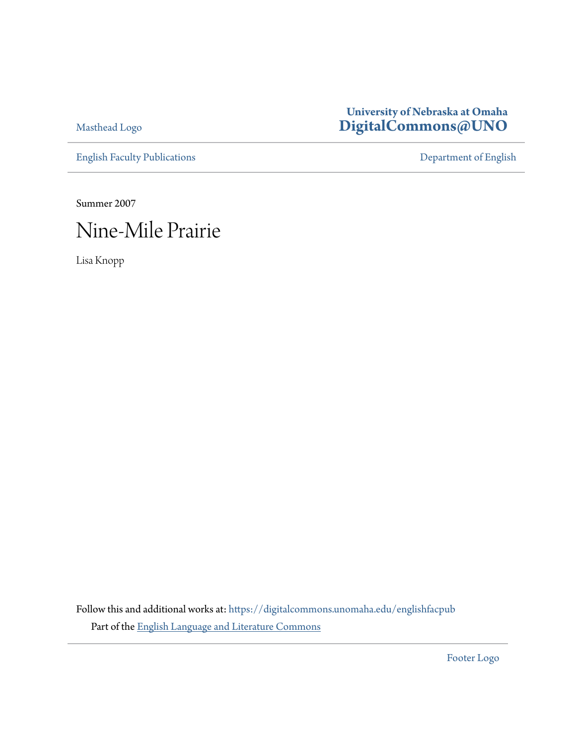[Masthead Logo](http://www.unomaha.edu/?utm_source=digitalcommons.unomaha.edu%2Fenglishfacpub%2F68&utm_medium=PDF&utm_campaign=PDFCoverPages)

[English Faculty Publications](https://digitalcommons.unomaha.edu/englishfacpub?utm_source=digitalcommons.unomaha.edu%2Fenglishfacpub%2F68&utm_medium=PDF&utm_campaign=PDFCoverPages) [Department of English](https://digitalcommons.unomaha.edu/english?utm_source=digitalcommons.unomaha.edu%2Fenglishfacpub%2F68&utm_medium=PDF&utm_campaign=PDFCoverPages)

#### **University of Nebraska at Omaha [DigitalCommons@UNO](https://digitalcommons.unomaha.edu?utm_source=digitalcommons.unomaha.edu%2Fenglishfacpub%2F68&utm_medium=PDF&utm_campaign=PDFCoverPages)**

Summer 2007

#### Nine-Mile Prairie

Lisa Knopp

Follow this and additional works at: [https://digitalcommons.unomaha.edu/englishfacpub](https://digitalcommons.unomaha.edu/englishfacpub?utm_source=digitalcommons.unomaha.edu%2Fenglishfacpub%2F68&utm_medium=PDF&utm_campaign=PDFCoverPages) Part of the [English Language and Literature Commons](http://network.bepress.com/hgg/discipline/455?utm_source=digitalcommons.unomaha.edu%2Fenglishfacpub%2F68&utm_medium=PDF&utm_campaign=PDFCoverPages)

[Footer Logo](http://library.unomaha.edu/?utm_source=digitalcommons.unomaha.edu%2Fenglishfacpub%2F68&utm_medium=PDF&utm_campaign=PDFCoverPages)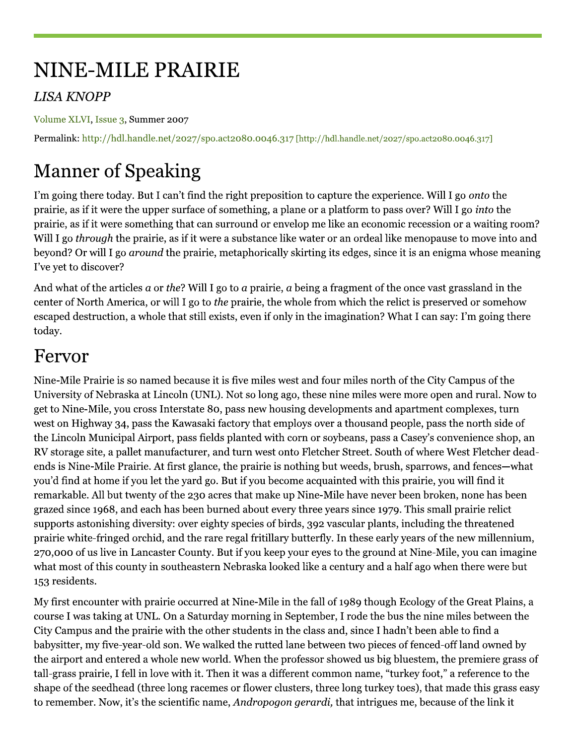# **NINE-MILE PRAIRIE**

#### **LISA KNOPP**

Volume XLVI, Issue 3, Summer 2007

Permalink: http://hdl.handle.net/2027/spo.act2080.0046.317 [http://hdl.handle.net/2027/spo.act2080.0046.317]

## **Manner of Speaking**

I'm going there today. But I can't find the right preposition to capture the experience. Will I go *onto* the prairie, as if it were the upper surface of something, a plane or a platform to pass over? Will I go *into* the prairie, as if it were something that can surround or envelop me like an economic recession or a waiting room? Will I go through the prairie, as if it were a substance like water or an ordeal like menopause to move into and beyond? Or will I go *around* the prairie, metaphorically skirting its edges, since it is an enigma whose meaning I've yet to discover?

And what of the articles a or the? Will I go to a prairie, a being a fragment of the once vast grassland in the center of North America, or will I go to the prairie, the whole from which the relict is preserved or somehow escaped destruction, a whole that still exists, even if only in the imagination? What I can say: I'm going there today.

#### Fervor

Nine-Mile Prairie is so named because it is five miles west and four miles north of the City Campus of the University of Nebraska at Lincoln (UNL). Not so long ago, these nine miles were more open and rural. Now to get to Nine-Mile, you cross Interstate 80, pass new housing developments and apartment complexes, turn west on Highway 34, pass the Kawasaki factory that employs over a thousand people, pass the north side of the Lincoln Municipal Airport, pass fields planted with corn or soybeans, pass a Casey's convenience shop, an RV storage site, a pallet manufacturer, and turn west onto Fletcher Street. South of where West Fletcher deadends is Nine-Mile Prairie. At first glance, the prairie is nothing but weeds, brush, sparrows, and fences—what you'd find at home if you let the yard go. But if you become acquainted with this prairie, you will find it remarkable. All but twenty of the 230 acres that make up Nine-Mile have never been broken, none has been grazed since 1968, and each has been burned about every three years since 1979. This small prairie relict supports astonishing diversity: over eighty species of birds, 392 vascular plants, including the threatened prairie white-fringed orchid, and the rare regal fritillary butterfly. In these early years of the new millennium, 270,000 of us live in Lancaster County. But if you keep your eyes to the ground at Nine-Mile, you can imagine what most of this county in southeastern Nebraska looked like a century and a half ago when there were but 153 residents.

My first encounter with prairie occurred at Nine-Mile in the fall of 1989 though Ecology of the Great Plains, a course I was taking at UNL. On a Saturday morning in September, I rode the bus the nine miles between the City Campus and the prairie with the other students in the class and, since I hadn't been able to find a babysitter, my five-year-old son. We walked the rutted lane between two pieces of fenced-off land owned by the airport and entered a whole new world. When the professor showed us big bluestem, the premiere grass of tall-grass prairie, I fell in love with it. Then it was a different common name, "turkey foot," a reference to the shape of the seedhead (three long racemes or flower clusters, three long turkey toes), that made this grass easy to remember. Now, it's the scientific name, *Andropogon gerardi*, that intrigues me, because of the link it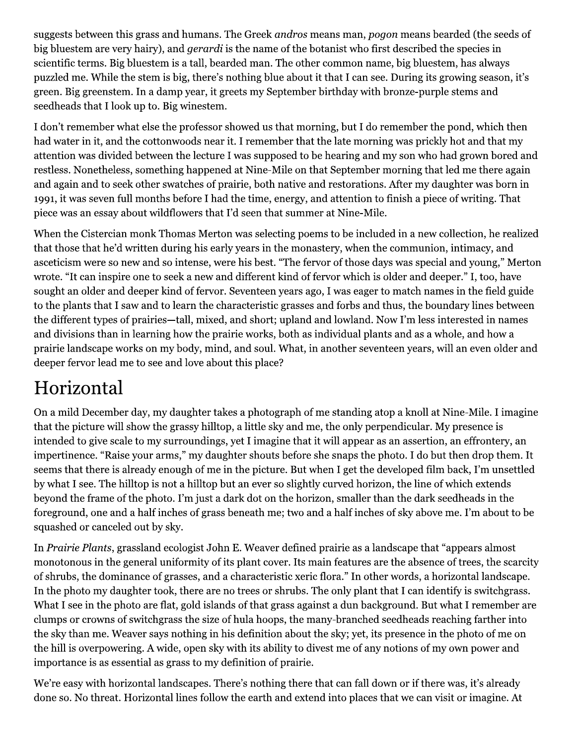suggests between this grass and humans. The Greek andros means man, pogon means bearded (the seeds of big bluestem are very hairy), and *gerardi* is the name of the botanist who first described the species in scientific terms. Big bluestem is a tall, bearded man. The other common name, big bluestem, has always puzzled me. While the stem is big, there's nothing blue about it that I can see. During its growing season, it's green. Big greenstem. In a damp year, it greets my September birthday with bronze-purple stems and seedheads that I look up to. Big winestem.

I don't remember what else the professor showed us that morning, but I do remember the pond, which then had water in it, and the cottonwoods near it. I remember that the late morning was prickly hot and that my attention was divided between the lecture I was supposed to be hearing and my son who had grown bored and restless. Nonetheless, something happened at Nine-Mile on that September morning that led me there again and again and to seek other swatches of prairie, both native and restorations. After my daughter was born in 1991, it was seven full months before I had the time, energy, and attention to finish a piece of writing. That piece was an essay about wildflowers that I'd seen that summer at Nine-Mile.

When the Cistercian monk Thomas Merton was selecting poems to be included in a new collection, he realized that those that he'd written during his early years in the monastery, when the communion, intimacy, and asceticism were so new and so intense, were his best. "The fervor of those days was special and young," Merton wrote. "It can inspire one to seek a new and different kind of fervor which is older and deeper." I, too, have sought an older and deeper kind of fervor. Seventeen years ago, I was eager to match names in the field guide to the plants that I saw and to learn the characteristic grasses and forbs and thus, the boundary lines between the different types of prairies—tall, mixed, and short; upland and lowland. Now I'm less interested in names and divisions than in learning how the prairie works, both as individual plants and as a whole, and how a prairie landscape works on my body, mind, and soul. What, in another seventeen years, will an even older and deeper fervor lead me to see and love about this place?

#### Horizontal

On a mild December day, my daughter takes a photograph of me standing atop a knoll at Nine-Mile. I imagine that the picture will show the grassy hilltop, a little sky and me, the only perpendicular. My presence is intended to give scale to my surroundings, yet I imagine that it will appear as an assertion, an effrontery, an impertinence. "Raise your arms," my daughter shouts before she snaps the photo. I do but then drop them. It seems that there is already enough of me in the picture. But when I get the developed film back, I'm unsettled by what I see. The hilltop is not a hilltop but an ever so slightly curved horizon, the line of which extends beyond the frame of the photo. I'm just a dark dot on the horizon, smaller than the dark seedheads in the foreground, one and a half inches of grass beneath me; two and a half inches of sky above me. I'm about to be squashed or canceled out by sky.

In Prairie Plants, grassland ecologist John E. Weaver defined prairie as a landscape that "appears almost" monotonous in the general uniformity of its plant cover. Its main features are the absence of trees, the scarcity of shrubs, the dominance of grasses, and a characteristic xeric flora." In other words, a horizontal landscape. In the photo my daughter took, there are no trees or shrubs. The only plant that I can identify is switchgrass. What I see in the photo are flat, gold islands of that grass against a dun background. But what I remember are clumps or crowns of switchgrass the size of hula hoops, the many-branched seedheads reaching farther into the sky than me. Weaver says nothing in his definition about the sky; yet, its presence in the photo of me on the hill is overpowering. A wide, open sky with its ability to divest me of any notions of my own power and importance is as essential as grass to my definition of prairie.

We're easy with horizontal landscapes. There's nothing there that can fall down or if there was, it's already done so. No threat. Horizontal lines follow the earth and extend into places that we can visit or imagine. At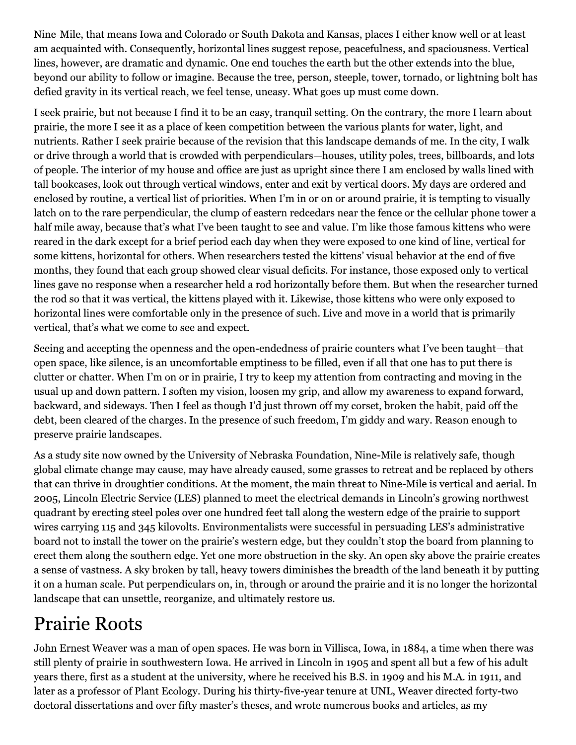Nine-Mile, that means Iowa and Colorado or South Dakota and Kansas, places I either know well or at least am acquainted with. Consequently, horizontal lines suggest repose, peacefulness, and spaciousness. Vertical lines, however, are dramatic and dynamic. One end touches the earth but the other extends into the blue, beyond our ability to follow or imagine. Because the tree, person, steeple, tower, tornado, or lightning bolt has defied gravity in its vertical reach, we feel tense, uneasy. What goes up must come down.

I seek prairie, but not because I find it to be an easy, tranguil setting. On the contrary, the more I learn about prairie, the more I see it as a place of keen competition between the various plants for water, light, and nutrients. Rather I seek prairie because of the revision that this landscape demands of me. In the city, I walk or drive through a world that is crowded with perpendiculars—houses, utility poles, trees, billboards, and lots of people. The interior of my house and office are just as upright since there I am enclosed by walls lined with tall bookcases, look out through vertical windows, enter and exit by vertical doors. My days are ordered and enclosed by routine, a vertical list of priorities. When I'm in or on or around prairie, it is tempting to visually latch on to the rare perpendicular, the clump of eastern redcedars near the fence or the cellular phone tower a half mile away, because that's what I've been taught to see and value. I'm like those famous kittens who were reared in the dark except for a brief period each day when they were exposed to one kind of line, vertical for some kittens, horizontal for others. When researchers tested the kittens' visual behavior at the end of five months, they found that each group showed clear visual deficits. For instance, those exposed only to vertical lines gave no response when a researcher held a rod horizontally before them. But when the researcher turned the rod so that it was vertical, the kittens played with it. Likewise, those kittens who were only exposed to horizontal lines were comfortable only in the presence of such. Live and move in a world that is primarily vertical, that's what we come to see and expect.

Seeing and accepting the openness and the open-endedness of prairie counters what I've been taught—that open space, like silence, is an uncomfortable emptiness to be filled, even if all that one has to put there is clutter or chatter. When I'm on or in prairie, I try to keep my attention from contracting and moving in the usual up and down pattern. I soften my vision, loosen my grip, and allow my awareness to expand forward, backward, and sideways. Then I feel as though I'd just thrown off my corset, broken the habit, paid off the debt, been cleared of the charges. In the presence of such freedom, I'm giddy and wary. Reason enough to preserve prairie landscapes.

As a study site now owned by the University of Nebraska Foundation, Nine-Mile is relatively safe, though global climate change may cause, may have already caused, some grasses to retreat and be replaced by others that can thrive in droughtier conditions. At the moment, the main threat to Nine-Mile is vertical and aerial. In 2005, Lincoln Electric Service (LES) planned to meet the electrical demands in Lincoln's growing northwest quadrant by erecting steel poles over one hundred feet tall along the western edge of the prairie to support wires carrying 115 and 345 kilovolts. Environmentalists were successful in persuading LES's administrative board not to install the tower on the prairie's western edge, but they couldn't stop the board from planning to erect them along the southern edge. Yet one more obstruction in the sky. An open sky above the prairie creates a sense of vastness. A sky broken by tall, heavy towers diminishes the breadth of the land beneath it by putting it on a human scale. Put perpendiculars on, in, through or around the prairie and it is no longer the horizontal landscape that can unsettle, reorganize, and ultimately restore us.

#### **Prairie Roots**

John Ernest Weaver was a man of open spaces. He was born in Villisca, Iowa, in 1884, a time when there was still plenty of prairie in southwestern Iowa. He arrived in Lincoln in 1905 and spent all but a few of his adult years there, first as a student at the university, where he received his B.S. in 1909 and his M.A. in 1911, and later as a professor of Plant Ecology. During his thirty-five-year tenure at UNL, Weaver directed forty-two doctoral dissertations and over fifty master's theses, and wrote numerous books and articles, as my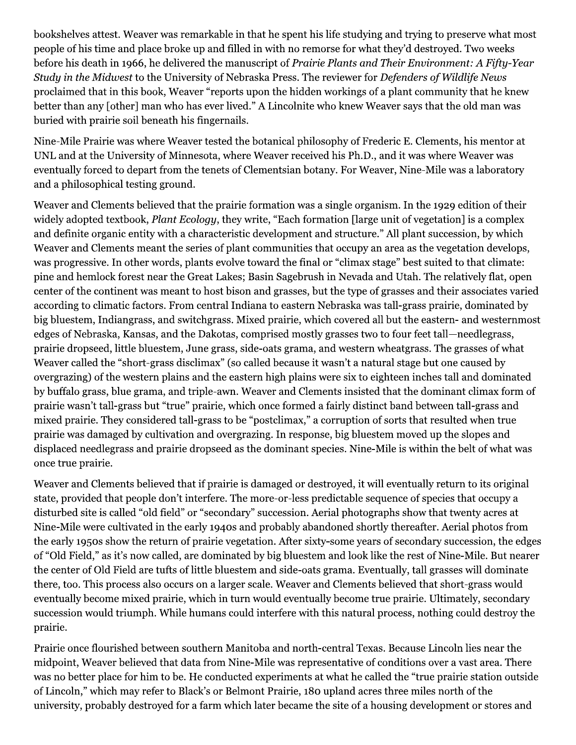bookshelves attest. Weaver was remarkable in that he spent his life studying and trying to preserve what most people of his time and place broke up and filled in with no remorse for what they'd destroyed. Two weeks before his death in 1966, he delivered the manuscript of Prairie Plants and Their Environment: A Fifty-Year Study in the Midwest to the University of Nebraska Press. The reviewer for Defenders of Wildlife News proclaimed that in this book, Weaver "reports upon the hidden workings of a plant community that he knew better than any [other] man who has ever lived." A Lincolnite who knew Weaver says that the old man was buried with prairie soil beneath his fingernails.

Nine-Mile Prairie was where Weaver tested the botanical philosophy of Frederic E. Clements, his mentor at UNL and at the University of Minnesota, where Weaver received his Ph.D., and it was where Weaver was eventually forced to depart from the tenets of Clementsian botany. For Weaver, Nine-Mile was a laboratory and a philosophical testing ground.

Weaver and Clements believed that the prairie formation was a single organism. In the 1929 edition of their widely adopted textbook, Plant Ecology, they write, "Each formation [large unit of vegetation] is a complex and definite organic entity with a characteristic development and structure." All plant succession, by which Weaver and Clements meant the series of plant communities that occupy an area as the vegetation develops, was progressive. In other words, plants evolve toward the final or "climax stage" best suited to that climate: pine and hemlock forest near the Great Lakes; Basin Sagebrush in Nevada and Utah. The relatively flat, open center of the continent was meant to host bison and grasses, but the type of grasses and their associates varied according to climatic factors. From central Indiana to eastern Nebraska was tall-grass prairie, dominated by big bluestem, Indiangrass, and switchgrass. Mixed prairie, which covered all but the eastern- and westernmost edges of Nebraska, Kansas, and the Dakotas, comprised mostly grasses two to four feet tall—needlegrass, prairie dropseed, little bluestem, June grass, side-oats grama, and western wheatgrass. The grasses of what Weaver called the "short-grass disclimax" (so called because it wasn't a natural stage but one caused by overgrazing) of the western plains and the eastern high plains were six to eighteen inches tall and dominated by buffalo grass, blue grama, and triple-awn. Weaver and Clements insisted that the dominant climax form of prairie wasn't tall-grass but "true" prairie, which once formed a fairly distinct band between tall-grass and mixed prairie. They considered tall-grass to be "postclimax," a corruption of sorts that resulted when true prairie was damaged by cultivation and overgrazing. In response, big bluestem moved up the slopes and displaced needlegrass and prairie dropseed as the dominant species. Nine-Mile is within the belt of what was once true prairie.

Weaver and Clements believed that if prairie is damaged or destroyed, it will eventually return to its original state, provided that people don't interfere. The more-or-less predictable sequence of species that occupy a disturbed site is called "old field" or "secondary" succession. Aerial photographs show that twenty acres at Nine-Mile were cultivated in the early 1940s and probably abandoned shortly thereafter. Aerial photos from the early 1950s show the return of prairie vegetation. After sixty-some years of secondary succession, the edges of "Old Field," as it's now called, are dominated by big bluestem and look like the rest of Nine-Mile. But nearer the center of Old Field are tufts of little bluestem and side-oats grama. Eventually, tall grasses will dominate there, too. This process also occurs on a larger scale. Weaver and Clements believed that short-grass would eventually become mixed prairie, which in turn would eventually become true prairie. Ultimately, secondary succession would triumph. While humans could interfere with this natural process, nothing could destroy the prairie.

Prairie once flourished between southern Manitoba and north-central Texas. Because Lincoln lies near the midpoint, Weaver believed that data from Nine-Mile was representative of conditions over a vast area. There was no better place for him to be. He conducted experiments at what he called the "true prairie station outside of Lincoln," which may refer to Black's or Belmont Prairie, 180 upland acres three miles north of the university, probably destroyed for a farm which later became the site of a housing development or stores and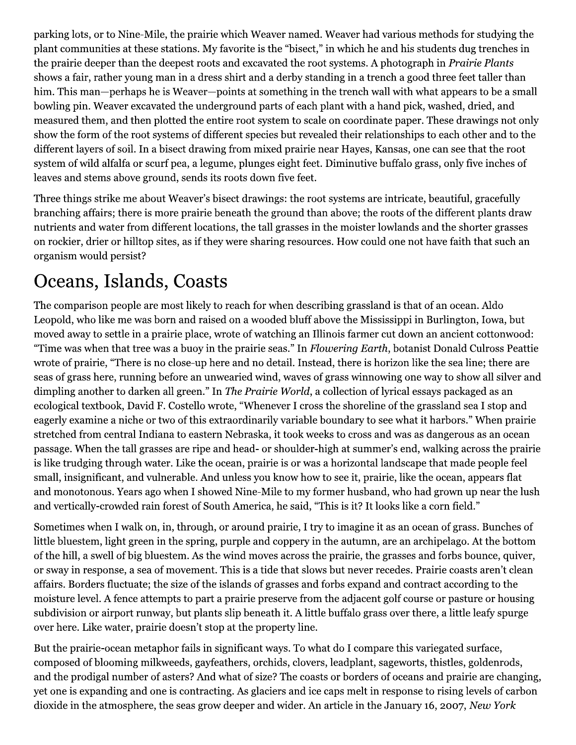parking lots, or to Nine-Mile, the prairie which Weaver named. Weaver had various methods for studying the plant communities at these stations. My favorite is the "bisect," in which he and his students dug trenches in the prairie deeper than the deepest roots and excavated the root systems. A photograph in *Prairie Plants* shows a fair, rather young man in a dress shirt and a derby standing in a trench a good three feet taller than him. This man—perhaps he is Weaver—points at something in the trench wall with what appears to be a small bowling pin. Weaver excavated the underground parts of each plant with a hand pick, washed, dried, and measured them, and then plotted the entire root system to scale on coordinate paper. These drawings not only show the form of the root systems of different species but revealed their relationships to each other and to the different layers of soil. In a bisect drawing from mixed prairie near Hayes, Kansas, one can see that the root system of wild alfalfa or scurf pea, a legume, plunges eight feet. Diminutive buffalo grass, only five inches of leaves and stems above ground, sends its roots down five feet.

Three things strike me about Weaver's bisect drawings: the root systems are intricate, beautiful, gracefully branching affairs; there is more prairie beneath the ground than above; the roots of the different plants draw nutrients and water from different locations, the tall grasses in the moister lowlands and the shorter grasses on rockier, drier or hilltop sites, as if they were sharing resources. How could one not have faith that such an organism would persist?

#### Oceans, Islands, Coasts

The comparison people are most likely to reach for when describing grassland is that of an ocean. Aldo Leopold, who like me was born and raised on a wooded bluff above the Mississippi in Burlington, Iowa, but moved away to settle in a prairie place, wrote of watching an Illinois farmer cut down an ancient cottonwood: "Time was when that tree was a buoy in the prairie seas." In Flowering Earth, botanist Donald Culross Peattie wrote of prairie, "There is no close-up here and no detail. Instead, there is horizon like the sea line; there are seas of grass here, running before an unwearied wind, waves of grass winnowing one way to show all silver and dimpling another to darken all green." In *The Prairie World*, a collection of lyrical essays packaged as an ecological textbook, David F. Costello wrote, "Whenever I cross the shoreline of the grassland sea I stop and eagerly examine a niche or two of this extraordinarily variable boundary to see what it harbors." When prairie stretched from central Indiana to eastern Nebraska, it took weeks to cross and was as dangerous as an ocean passage. When the tall grasses are ripe and head- or shoulder-high at summer's end, walking across the prairie is like trudging through water. Like the ocean, prairie is or was a horizontal landscape that made people feel small, insignificant, and vulnerable. And unless you know how to see it, prairie, like the ocean, appears flat and monotonous. Years ago when I showed Nine-Mile to my former husband, who had grown up near the lush and vertically-crowded rain forest of South America, he said, "This is it? It looks like a corn field."

Sometimes when I walk on, in, through, or around prairie, I try to imagine it as an ocean of grass. Bunches of little bluestem, light green in the spring, purple and coppery in the autumn, are an archipelago. At the bottom of the hill, a swell of big bluestem. As the wind moves across the prairie, the grasses and forbs bounce, quiver, or sway in response, a sea of movement. This is a tide that slows but never recedes. Prairie coasts aren't clean affairs. Borders fluctuate; the size of the islands of grasses and forbs expand and contract according to the moisture level. A fence attempts to part a prairie preserve from the adjacent golf course or pasture or housing subdivision or airport runway, but plants slip beneath it. A little buffalo grass over there, a little leafy spurge over here. Like water, prairie doesn't stop at the property line.

But the prairie-ocean metaphor fails in significant ways. To what do I compare this variegated surface, composed of blooming milkweeds, gayfeathers, orchids, clovers, leadplant, sageworts, thistles, goldenrods, and the prodigal number of asters? And what of size? The coasts or borders of oceans and prairie are changing, yet one is expanding and one is contracting. As glaciers and ice caps melt in response to rising levels of carbon dioxide in the atmosphere, the seas grow deeper and wider. An article in the January 16, 2007, New York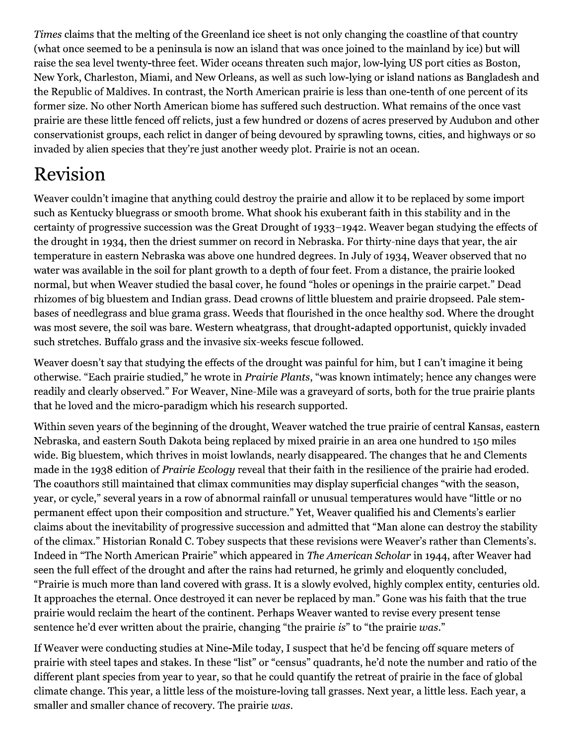Times claims that the melting of the Greenland ice sheet is not only changing the coastline of that country (what once seemed to be a peninsula is now an island that was once joined to the mainland by ice) but will raise the sea level twenty-three feet. Wider oceans threaten such major, low-lying US port cities as Boston, New York, Charleston, Miami, and New Orleans, as well as such low-lying or island nations as Bangladesh and the Republic of Maldives. In contrast, the North American prairie is less than one-tenth of one percent of its former size. No other North American biome has suffered such destruction. What remains of the once vast prairie are these little fenced off relicts, just a few hundred or dozens of acres preserved by Audubon and other conservationist groups, each relict in danger of being devoured by sprawling towns, cities, and highways or so invaded by alien species that they're just another weedy plot. Prairie is not an ocean.

#### Revision

Weaver couldn't imagine that anything could destroy the prairie and allow it to be replaced by some import such as Kentucky bluegrass or smooth brome. What shook his exuberant faith in this stability and in the certainty of progressive succession was the Great Drought of 1933–1942. Weaver began studying the effects of the drought in 1934, then the driest summer on record in Nebraska. For thirty-nine days that year, the air temperature in eastern Nebraska was above one hundred degrees. In July of 1934, Weaver observed that no water was available in the soil for plant growth to a depth of four feet. From a distance, the prairie looked normal, but when Weaver studied the basal cover, he found "holes or openings in the prairie carpet." Dead rhizomes of big bluestem and Indian grass. Dead crowns of little bluestem and prairie dropseed. Pale stembases of needlegrass and blue grama grass. Weeds that flourished in the once healthy sod. Where the drought was most severe, the soil was bare. Western wheatgrass, that drought-adapted opportunist, quickly invaded such stretches. Buffalo grass and the invasive six-weeks fescue followed.

Weaver doesn't say that studying the effects of the drought was painful for him, but I can't imagine it being otherwise. "Each prairie studied," he wrote in Prairie Plants, "was known intimately; hence any changes were readily and clearly observed." For Weaver, Nine-Mile was a graveyard of sorts, both for the true prairie plants that he loved and the micro-paradigm which his research supported.

Within seven years of the beginning of the drought, Weaver watched the true prairie of central Kansas, eastern Nebraska, and eastern South Dakota being replaced by mixed prairie in an area one hundred to 150 miles wide. Big bluestem, which thrives in moist lowlands, nearly disappeared. The changes that he and Clements made in the 1938 edition of *Prairie Ecology* reveal that their faith in the resilience of the prairie had eroded. The coauthors still maintained that climax communities may display superficial changes "with the season, year, or cycle," several years in a row of abnormal rainfall or unusual temperatures would have "little or no permanent effect upon their composition and structure." Yet, Weaver qualified his and Clements's earlier claims about the inevitability of progressive succession and admitted that "Man alone can destroy the stability of the climax." Historian Ronald C. Tobey suspects that these revisions were Weaver's rather than Clements's. Indeed in "The North American Prairie" which appeared in The American Scholar in 1944, after Weaver had seen the full effect of the drought and after the rains had returned, he grimly and eloquently concluded, "Prairie is much more than land covered with grass. It is a slowly evolved, highly complex entity, centuries old. It approaches the eternal. Once destroyed it can never be replaced by man." Gone was his faith that the true prairie would reclaim the heart of the continent. Perhaps Weaver wanted to revise every present tense sentence he'd ever written about the prairie, changing "the prairie is" to "the prairie was."

If Weaver were conducting studies at Nine-Mile today, I suspect that he'd be fencing off square meters of prairie with steel tapes and stakes. In these "list" or "census" quadrants, he'd note the number and ratio of the different plant species from year to year, so that he could quantify the retreat of prairie in the face of global climate change. This year, a little less of the moisture-loving tall grasses. Next year, a little less. Each year, a smaller and smaller chance of recovery. The prairie was.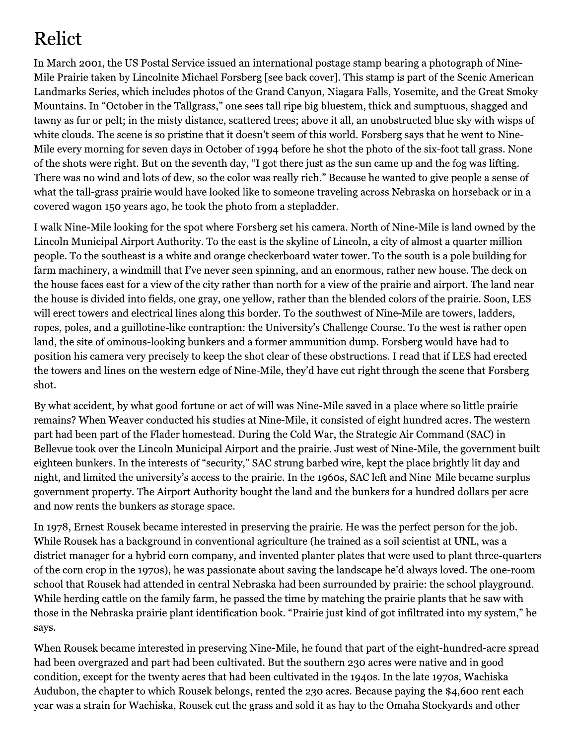# Relict

In March 2001, the US Postal Service issued an international postage stamp bearing a photograph of Nine-Mile Prairie taken by Lincolnite Michael Forsberg [see back cover]. This stamp is part of the Scenic American Landmarks Series, which includes photos of the Grand Canyon, Niagara Falls, Yosemite, and the Great Smoky Mountains. In "October in the Tallgrass," one sees tall ripe big bluestem, thick and sumptuous, shagged and tawny as fur or pelt; in the misty distance, scattered trees; above it all, an unobstructed blue sky with wisps of white clouds. The scene is so pristine that it doesn't seem of this world. Forsberg says that he went to Nine-Mile every morning for seven days in October of 1994 before he shot the photo of the six-foot tall grass. None of the shots were right. But on the seventh day, "I got there just as the sun came up and the fog was lifting. There was no wind and lots of dew, so the color was really rich." Because he wanted to give people a sense of what the tall-grass prairie would have looked like to someone traveling across Nebraska on horseback or in a covered wagon 150 years ago, he took the photo from a stepladder.

I walk Nine-Mile looking for the spot where Forsberg set his camera. North of Nine-Mile is land owned by the Lincoln Municipal Airport Authority. To the east is the skyline of Lincoln, a city of almost a quarter million people. To the southeast is a white and orange checkerboard water tower. To the south is a pole building for farm machinery, a windmill that I've never seen spinning, and an enormous, rather new house. The deck on the house faces east for a view of the city rather than north for a view of the prairie and airport. The land near the house is divided into fields, one gray, one yellow, rather than the blended colors of the prairie. Soon, LES will erect towers and electrical lines along this border. To the southwest of Nine-Mile are towers, ladders, ropes, poles, and a guillotine-like contraption: the University's Challenge Course. To the west is rather open land, the site of ominous-looking bunkers and a former ammunition dump. Forsberg would have had to position his camera very precisely to keep the shot clear of these obstructions. I read that if LES had erected the towers and lines on the western edge of Nine-Mile, they'd have cut right through the scene that Forsberg shot.

By what accident, by what good fortune or act of will was Nine-Mile saved in a place where so little prairie remains? When Weaver conducted his studies at Nine-Mile, it consisted of eight hundred acres. The western part had been part of the Flader homestead. During the Cold War, the Strategic Air Command (SAC) in Bellevue took over the Lincoln Municipal Airport and the prairie. Just west of Nine-Mile, the government built eighteen bunkers. In the interests of "security," SAC strung barbed wire, kept the place brightly lit day and night, and limited the university's access to the prairie. In the 1960s, SAC left and Nine-Mile became surplus government property. The Airport Authority bought the land and the bunkers for a hundred dollars per acre and now rents the bunkers as storage space.

In 1978, Ernest Rousek became interested in preserving the prairie. He was the perfect person for the job. While Rousek has a background in conventional agriculture (he trained as a soil scientist at UNL, was a district manager for a hybrid corn company, and invented planter plates that were used to plant three-quarters of the corn crop in the 1970s), he was passionate about saving the landscape he'd always loved. The one-room school that Rousek had attended in central Nebraska had been surrounded by prairie: the school playground. While herding cattle on the family farm, he passed the time by matching the prairie plants that he saw with those in the Nebraska prairie plant identification book. "Prairie just kind of got infiltrated into my system," he says.

When Rousek became interested in preserving Nine-Mile, he found that part of the eight-hundred-acre spread had been overgrazed and part had been cultivated. But the southern 230 acres were native and in good condition, except for the twenty acres that had been cultivated in the 1940s. In the late 1970s, Wachiska Audubon, the chapter to which Rousek belongs, rented the 230 acres. Because paying the \$4,600 rent each year was a strain for Wachiska, Rousek cut the grass and sold it as hay to the Omaha Stockyards and other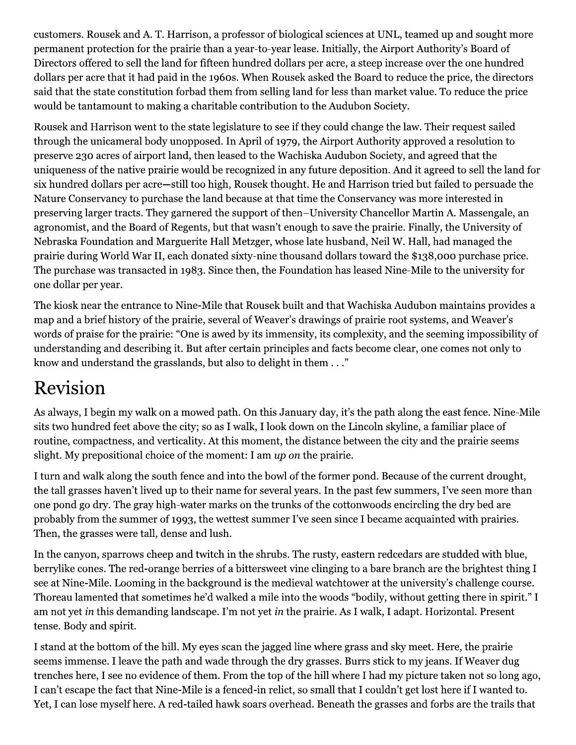customers. Rousek and A. T. Harrison, a professor of biological sciences at UNL, teamed up and sought more permanent protection for the prairie than a year-to-year lease. Initially, the Airport Authority's Board of Directors offered to sell the land for fifteen hundred dollars per acre, a steep increase over the one hundred dollars per acre that it had paid in the 1960s. When Rousek asked the Board to reduce the price, the directors said that the state constitution forbad them from selling land for less than market value. To reduce the price would be tantamount to making a charitable contribution to the Audubon Society.

Rousek and Harrison went to the state legislature to see if they could change the law. Their request sailed through the unicameral body unopposed. In April of 1979, the Airport Authority approved a resolution to preserve 230 acres of airport land, then leased to the Wachiska Audubon Society, and agreed that the uniqueness of the native prairie would be recognized in any future deposition. And it agreed to sell the land for six hundred dollars per acre—still too high, Rousek thought. He and Harrison tried but failed to persuade the Nature Conservancy to purchase the land because at that time the Conservancy was more interested in preserving larger tracts. They garnered the support of then–University Chancellor Martin A. Massengale, an agronomist, and the Board of Regents, but that wasn't enough to save the prairie. Finally, the University of Nebraska Foundation and Marguerite Hall Metzger, whose late husband, Neil W. Hall, had managed the prairie during World War II, each donated sixty-nine thousand dollars toward the \$138,000 purchase price. The purchase was transacted in 1983. Since then, the Foundation has leased Nine-Mile to the university for one dollar per year.

The kiosk near the entrance to Nine-Mile that Rousek built and that Wachiska Audubon maintains provides a map and a brief history of the prairie, several of Weaver's drawings of prairie root systems, and Weaver's words of praise for the prairie: "One is awed by its immensity, its complexity, and the seeming impossibility of understanding and describing it. But after certain principles and facts become clear, one comes not only to know and understand the grasslands, but also to delight in them . . ."

#### Revision

As always, I begin my walk on a mowed path. On this January day, it's the path along the east fence. Nine-Mile sits two hundred feet above the city; so as I walk, I look down on the Lincoln skyline, a familiar place of routine, compactness, and verticality. At this moment, the distance between the city and the prairie seems slight. My prepositional choice of the moment: I am up on the prairie.

I turn and walk along the south fence and into the bowl of the former pond. Because of the current drought, the tall grasses haven't lived up to their name for several years. In the past few summers, I've seen more than one pond go dry. The gray high-water marks on the trunks of the cottonwoods encircling the dry bed are probably from the summer of 1993, the wettest summer I've seen since I became acquainted with prairies. Then, the grasses were tall, dense and lush.

In the canyon, sparrows cheep and twitch in the shrubs. The rusty, eastern redcedars are studded with blue, berrylike cones. The red-orange berries of a bittersweet vine clinging to a bare branch are the brightest thing I see at Nine-Mile. Looming in the background is the medieval watchtower at the university's challenge course. Thoreau lamented that sometimes he'd walked a mile into the woods "bodily, without getting there in spirit." I am not yet in this demanding landscape. I'm not yet in the prairie. As I walk, I adapt. Horizontal. Present tense. Body and spirit.

I stand at the bottom of the hill. My eyes scan the jagged line where grass and sky meet. Here, the prairie seems immense. I leave the path and wade through the dry grasses. Burrs stick to my jeans. If Weaver dug trenches here, I see no evidence of them. From the top of the hill where I had my picture taken not so long ago, I can't escape the fact that Nine-Mile is a fenced-in relict, so small that I couldn't get lost here if I wanted to. Yet, I can lose myself here. A red-tailed hawk soars overhead. Beneath the grasses and forbs are the trails that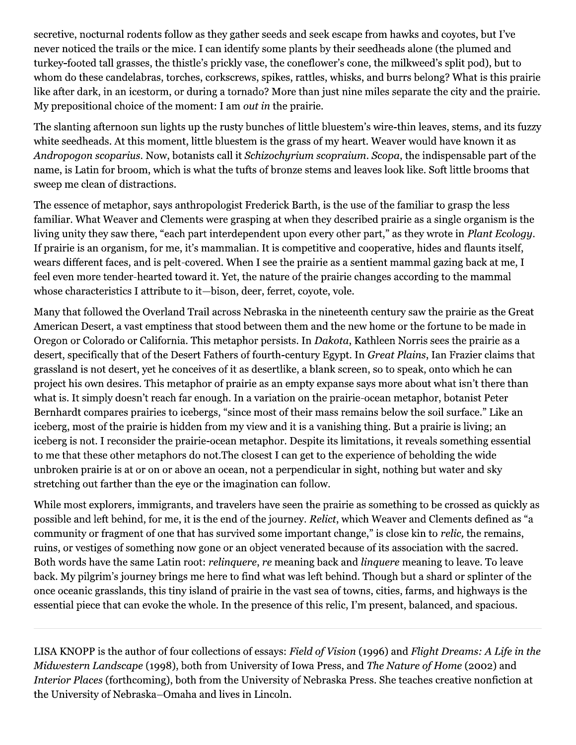secretive, nocturnal rodents follow as they gather seeds and seek escape from hawks and coyotes, but I've never noticed the trails or the mice. I can identify some plants by their seedheads alone (the plumed and turkey-footed tall grasses, the thistle's prickly vase, the coneflower's cone, the milkweed's split pod), but to whom do these candelabras, torches, corkscrews, spikes, rattles, whisks, and burrs belong? What is this prairie like after dark, in an icestorm, or during a tornado? More than just nine miles separate the city and the prairie. My prepositional choice of the moment: I am *out in* the prairie.

The slanting afternoon sun lights up the rusty bunches of little bluestem's wire-thin leaves, stems, and its fuzzy white seedheads. At this moment, little bluestem is the grass of my heart. Weaver would have known it as Andropogon scoparius. Now, botanists call it Schizochyrium scopraium. Scopa, the indispensable part of the name, is Latin for broom, which is what the tufts of bronze stems and leaves look like. Soft little brooms that sweep me clean of distractions.

The essence of metaphor, says anthropologist Frederick Barth, is the use of the familiar to grasp the less familiar. What Weaver and Clements were grasping at when they described prairie as a single organism is the living unity they saw there, "each part interdependent upon every other part," as they wrote in *Plant Ecology*. If prairie is an organism, for me, it's mammalian. It is competitive and cooperative, hides and flaunts itself, wears different faces, and is pelt-covered. When I see the prairie as a sentient mammal gazing back at me, I feel even more tender-hearted toward it. Yet, the nature of the prairie changes according to the mammal whose characteristics I attribute to it-bison, deer, ferret, coyote, vole.

Many that followed the Overland Trail across Nebraska in the nineteenth century saw the prairie as the Great American Desert, a vast emptiness that stood between them and the new home or the fortune to be made in Oregon or Colorado or California. This metaphor persists. In Dakota, Kathleen Norris sees the prairie as a desert, specifically that of the Desert Fathers of fourth-century Egypt. In Great Plains, Ian Frazier claims that grassland is not desert, yet he conceives of it as desertlike, a blank screen, so to speak, onto which he can project his own desires. This metaphor of prairie as an empty expanse says more about what isn't there than what is. It simply doesn't reach far enough. In a variation on the prairie-ocean metaphor, botanist Peter Bernhardt compares prairies to icebergs, "since most of their mass remains below the soil surface." Like an iceberg, most of the prairie is hidden from my view and it is a vanishing thing. But a prairie is living; an iceberg is not. I reconsider the prairie-ocean metaphor. Despite its limitations, it reveals something essential to me that these other metaphors do not. The closest I can get to the experience of beholding the wide unbroken prairie is at or on or above an ocean, not a perpendicular in sight, nothing but water and sky stretching out farther than the eye or the imagination can follow.

While most explorers, immigrants, and travelers have seen the prairie as something to be crossed as quickly as possible and left behind, for me, it is the end of the journey. Relict, which Weaver and Clements defined as "a community or fragment of one that has survived some important change," is close kin to *relic*, the remains, ruins, or vestiges of something now gone or an object venerated because of its association with the sacred. Both words have the same Latin root: *relinguere*, *re* meaning back and *linguere* meaning to leave. To leave back. My pilgrim's journey brings me here to find what was left behind. Though but a shard or splinter of the once oceanic grasslands, this tiny island of prairie in the vast sea of towns, cities, farms, and highways is the essential piece that can evoke the whole. In the presence of this relic, I'm present, balanced, and spacious.

LISA KNOPP is the author of four collections of essays: Field of Vision (1996) and Flight Dreams: A Life in the Midwestern Landscape (1998), both from University of Iowa Press, and The Nature of Home (2002) and Interior Places (forthcoming), both from the University of Nebraska Press. She teaches creative nonfiction at the University of Nebraska-Omaha and lives in Lincoln.